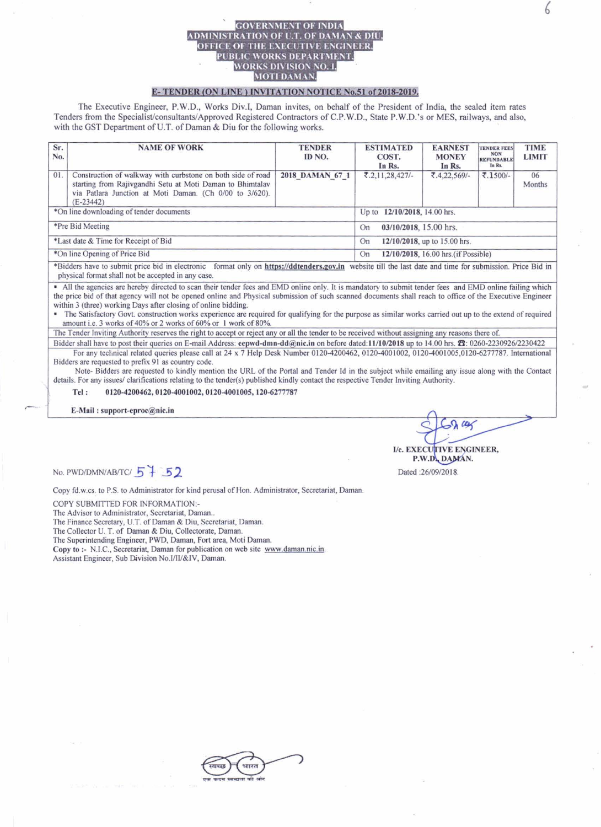## ADMINISTRATION OF ILT. OF DAMAN & DIU. OFFICE OF THE EXECUTIVE ENGINEER, PUBLIC WORKS DEPARTMENT, WORKS DIVISION NO. I, **MOTI DAMAN.**

## E-TENDER (ON LINE) INVITATION NOTICE No.51 of 2018-2019.

The Executive Engineer, P.W.D., Works Div.I, Daman invites, on behalf of the President of India, the sealed item rates Tenders from the Specialist/consultants/Approved Registered Contractors of C.P.W.D., State P.W.D.'s or MES, railways, and also, with the GST Department of U.T. of Daman & Diu for the following works.

| Sr.<br>No.                               | <b>NAME OF WORK</b>                                                                                                                                                                                | <b>TENDER</b><br>ID NO. | <b>ESTIMATED</b><br>COST.<br>In Rs.        | <b>EARNEST</b><br><b>MONEY</b><br>In Rs. | <b>TENDER FEES</b><br><b>NON</b><br><b>REFUNDABLE</b><br>In Rs. | <b>TIME</b><br><b>LIMIT</b> |  |
|------------------------------------------|----------------------------------------------------------------------------------------------------------------------------------------------------------------------------------------------------|-------------------------|--------------------------------------------|------------------------------------------|-----------------------------------------------------------------|-----------------------------|--|
| 01.                                      | Construction of walkway with curbstone on both side of road<br>starting from Rajivgandhi Setu at Moti Daman to Bhimtalav<br>via Patlara Junction at Moti Daman. (Ch 0/00 to 3/620).<br>$(E-23442)$ | 2018 DAMAN 67 1         | ₹.2,11,28,427/-                            | ₹.4,22,569/-                             | ₹.1500/-                                                        | 06<br>Months                |  |
| *On line downloading of tender documents |                                                                                                                                                                                                    |                         | Up to 12/10/2018, 14.00 hrs.               |                                          |                                                                 |                             |  |
| *Pre Bid Meeting                         |                                                                                                                                                                                                    |                         | 03/10/2018, 15.00 hrs.<br>On               |                                          |                                                                 |                             |  |
| *Last date & Time for Receipt of Bid     |                                                                                                                                                                                                    |                         | 12/10/2018, up to 15.00 hrs.<br>On         |                                          |                                                                 |                             |  |
| *On line Opening of Price Bid            |                                                                                                                                                                                                    |                         | 12/10/2018, 16.00 hrs. (if Possible)<br>On |                                          |                                                                 |                             |  |
|                                          | *Bidders have to submit price bid in electronic format only on https://ddtenders.gov.in, website till the last date and time for submission. Price Bid in                                          |                         |                                            |                                          |                                                                 |                             |  |

physical format shall not be accepted in any case.

All the agencies are hereby directed to scan their tender fees and EMD online only. It is mandatory to submit tender fees and EMD online failing which the price bid of that agency will not be opened online and Physical submission of such scanned documents shall reach to office of the Executive Engineer within 3 (three) working Days after closing of online bidding.

The Satisfactory Govt. construction works experience are required for qualifying for the purpose as similar works carried out up to the extend of required amount i.e. 3 works of 40% or 2 works of 60% or 1 work of 80%.

The Tender Inviting Authority reserves the right to accept or reject any or all the tender to be received without assigning any reasons there of.

Bidder shall have to post their queries on E-mail Address: eepwd-dmn-dd@nic.in on before dated:11/10/2018 up to 14.00 hrs.  $\pi$ : 0260-2230926/2230422 For any technical related queries please call at 24 x 7 Help Desk Number 0120-4200462, 0120-4001002, 0120-4001005,0120-6277787. International Bidders are requested to prefix 91 as country code.

Note- Bidders are requested to kindly mention the URL of the Portal and Tender Id in the subject while emailing any issue along with the Contact details. For any issues/ clarifications relating to the tender(s) published kindly contact the respective Tender Inviting Authority.

0120-4200462, 0120-4001002, 0120-4001005, 120-6277787 Tel:

E-Mail: support-eproc@nic.in

 $\alpha$ 

No. PWD/DMN/AB/TC/ 57 52

Copy fd.w.cs. to P.S. to Administrator for kind perusal of Hon. Administrator, Secretariat, Daman.

COPY SUBMITTED FOR INFORMATION:-

The Advisor to Administrator, Secretariat, Daman..

The Finance Secretary, U.T. of Daman & Diu, Secretariat, Daman.

The Collector U. T. of Daman & Diu, Collectorate, Daman.

The Superintending Engineer, PWD, Daman, Fort area, Moti Daman.

Copy to :- N.I.C., Secretariat, Daman for publication on web site www.daman.nic.in. Assistant Engineer, Sub Division No.I/II/&IV, Daman.

**TIVE ENGINEER.** 

I/c. EXECU P.W.D. DAMAN. Dated: 26/09/2018.